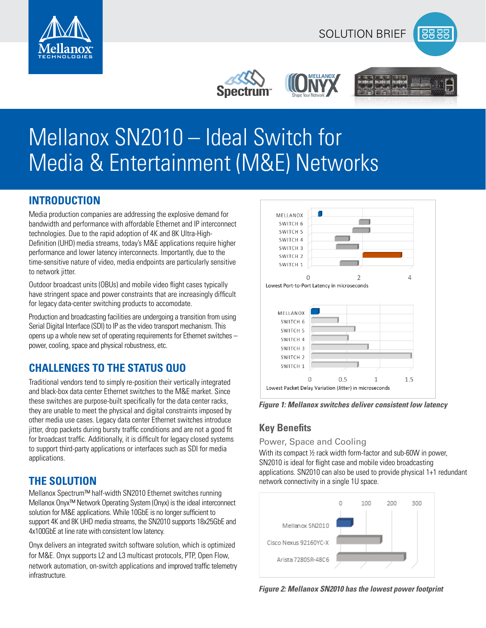

# Mellanox SN2010 – Ideal Switch for Media & Entertainment (M&E) Networks

## **INTRODUCTION**

Media production companies are addressing the explosive demand for bandwidth and performance with affordable Ethernet and IP interconnect technologies. Due to the rapid adoption of 4K and 8K Ultra-High-Definition (UHD) media streams, today's M&E applications require higher performance and lower latency interconnects. Importantly, due to the time-sensitive nature of video, media endpoints are particularly sensitive to network jitter.

Outdoor broadcast units (OBUs) and mobile video flight cases typically have stringent space and power constraints that are increasingly difficult for legacy data-center switching products to accomodate.

Production and broadcasting facilities are undergoing a transition from using Serial Digital Interface (SDI) to IP as the video transport mechanism. This opens up a whole new set of operating requirements for Ethernet switches – power, cooling, space and physical robustness, etc.

# **CHALLENGES TO THE STATUS QUO**

Traditional vendors tend to simply re-position their vertically integrated and black-box data center Ethernet switches to the M&E market. Since these switches are purpose-built specifically for the data center racks, they are unable to meet the physical and digital constraints imposed by other media use cases. Legacy data center Ethernet switches introduce jitter, drop packets during bursty traffic conditions and are not a good fit for broadcast traffic. Additionally, it is difficult for legacy closed systems to support third-party applications or interfaces such as SDI for media applications.

# **THE SOLUTION**

Mellanox Spectrum™ half-width SN2010 Ethernet switches running Mellanox Onyx™ Network Operating System (Onyx) is the ideal interconnect solution for M&E applications. While 10GbE is no longer sufficient to support 4K and 8K UHD media streams, the SN2010 supports 18x25GbE and 4x100GbE at line rate with consistent low latency.

Onyx delivers an integrated switch software solution, which is optimized for M&E. Onyx supports L2 and L3 multicast protocols, PTP, Open Flow, network automation, on-switch applications and improved traffic telemetry infrastructure.



*Figure 1: Mellanox switches deliver consistent low latency*

# **Key Benefits**

Power, Space and Cooling

With its compact 1/2 rack width form-factor and sub-60W in power, SN2010 is ideal for flight case and mobile video broadcasting applications. SN2010 can also be used to provide physical 1+1 redundant network connectivity in a single 1U space.



*Figure 2: Mellanox SN2010 has the lowest power footprint*